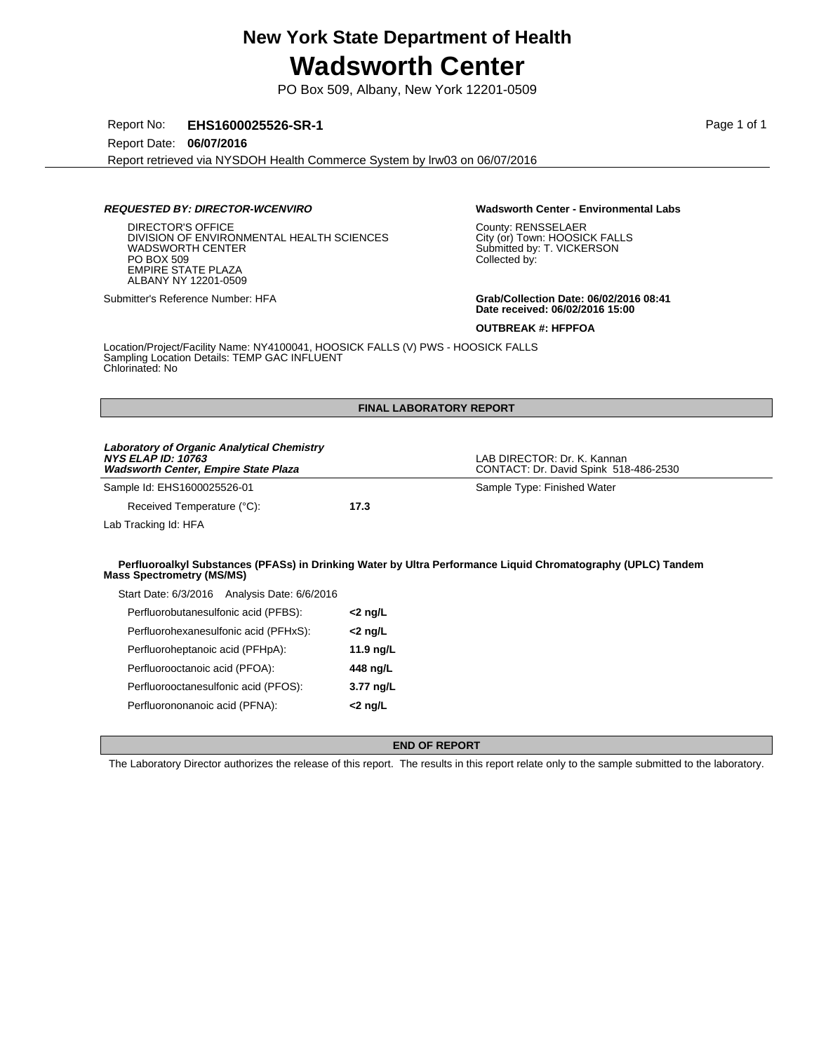PO Box 509, Albany, New York 12201-0509

Report No: **EHS1600025526-SR-1** Page 1 of 1

Report Date: **06/07/2016**

Report retrieved via NYSDOH Health Commerce System by lrw03 on 06/07/2016

## **REQUESTED BY: DIRECTOR-WCENVIRO Wadsworth Center - Environmental Labs**

DIRECTOR'S OFFICE DIVISION OF ENVIRONMENTAL HEALTH SCIENCES WADSWORTH CENTER PO BOX 509 EMPIRE STATE PLAZA ALBANY NY 12201-0509

Perfluorooctanesulfonic acid (PFOS): **3.77 ng/L** Perfluorononanoic acid (PFNA): **<2 ng/L**

County: RENSSELAER City (or) Town: HOOSICK FALLS Submitted by: T. VICKERSON Collected by:

Submitter's Reference Number: HFA **Grab/Collection Date: 06/02/2016 08:41 Date received: 06/02/2016 15:00**

**OUTBREAK #: HFPFOA**

Location/Project/Facility Name: NY4100041, HOOSICK FALLS (V) PWS - HOOSICK FALLS Sampling Location Details: TEMP GAC INFLUENT Chlorinated: No

| <b>FINAL LABORATORY REPORT</b>                                                                                         |                    |                                                                                                              |  |  |
|------------------------------------------------------------------------------------------------------------------------|--------------------|--------------------------------------------------------------------------------------------------------------|--|--|
| Laboratory of Organic Analytical Chemistry<br><b>NYS ELAP ID: 10763</b><br><b>Wadsworth Center, Empire State Plaza</b> |                    | LAB DIRECTOR: Dr. K. Kannan<br>CONTACT: Dr. David Spink 518-486-2530                                         |  |  |
| Sample Id: EHS1600025526-01                                                                                            |                    | Sample Type: Finished Water                                                                                  |  |  |
| Received Temperature (°C):                                                                                             | 17.3               |                                                                                                              |  |  |
| Lab Tracking Id: HFA                                                                                                   |                    |                                                                                                              |  |  |
| <b>Mass Spectrometry (MS/MS)</b>                                                                                       |                    | Perfluoroalkyl Substances (PFASs) in Drinking Water by Ultra Performance Liquid Chromatography (UPLC) Tandem |  |  |
| Start Date: 6/3/2016 Analysis Date: 6/6/2016                                                                           |                    |                                                                                                              |  |  |
| Perfluorobutanesulfonic acid (PFBS):                                                                                   | $<$ 2 ng/L         |                                                                                                              |  |  |
| Perfluorohexanesulfonic acid (PFHxS):                                                                                  | <2 ng/L            |                                                                                                              |  |  |
| Perfluoroheptanoic acid (PFHpA):                                                                                       | 11.9 $\frac{1}{2}$ |                                                                                                              |  |  |
| Perfluorooctanoic acid (PFOA):                                                                                         | 448 ng/L           |                                                                                                              |  |  |

### **END OF REPORT**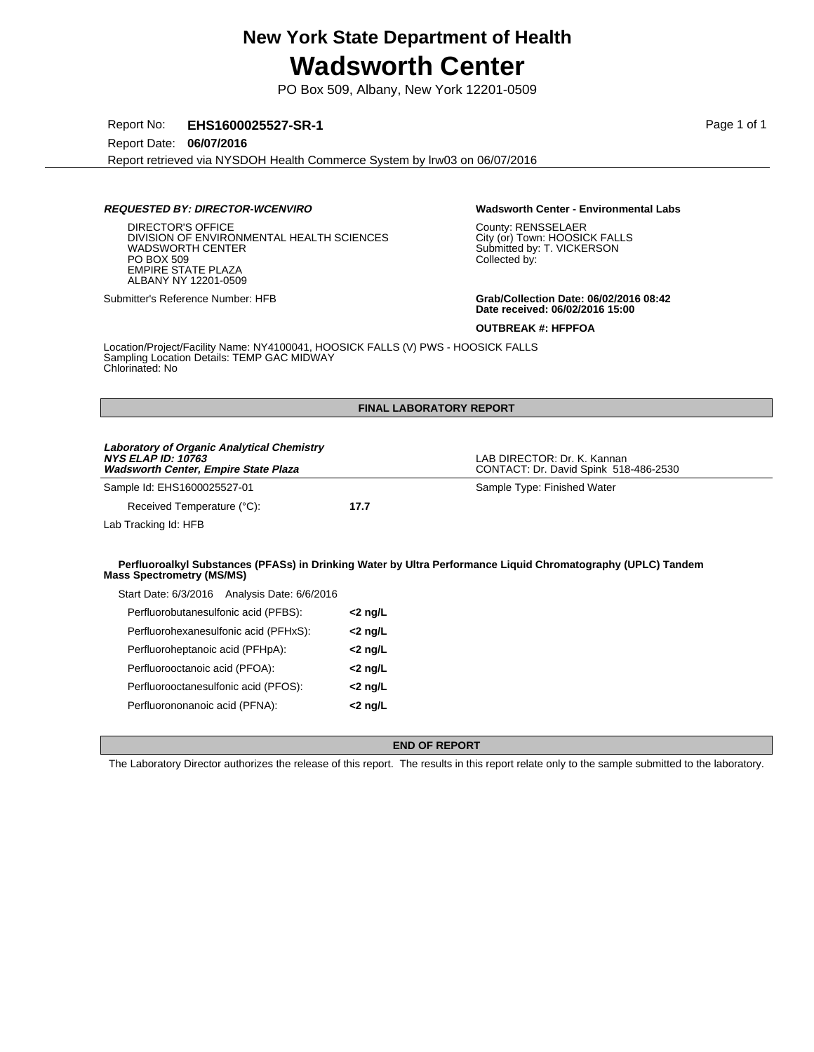PO Box 509, Albany, New York 12201-0509

Report No: **EHS1600025527-SR-1 Page 1 of 1** 

Report Date: **06/07/2016**

Report retrieved via NYSDOH Health Commerce System by lrw03 on 06/07/2016

## **REQUESTED BY: DIRECTOR-WCENVIRO Wadsworth Center - Environmental Labs**

DIRECTOR'S OFFICE DIVISION OF ENVIRONMENTAL HEALTH SCIENCES WADSWORTH CENTER PO BOX 509 EMPIRE STATE PLAZA ALBANY NY 12201-0509

Perfluorononanoic acid (PFNA): **<2 ng/L**

County: RENSSELAER City (or) Town: HOOSICK FALLS Submitted by: T. VICKERSON Collected by:

Submitter's Reference Number: HFB **Grab/Collection Date: 06/02/2016 08:42 Date received: 06/02/2016 15:00**

**OUTBREAK #: HFPFOA**

Location/Project/Facility Name: NY4100041, HOOSICK FALLS (V) PWS - HOOSICK FALLS Sampling Location Details: TEMP GAC MIDWAY Chlorinated: No

| <b>FINAL LABORATORY REPORT</b>                                                                                                |            |                                                                                                              |  |  |
|-------------------------------------------------------------------------------------------------------------------------------|------------|--------------------------------------------------------------------------------------------------------------|--|--|
| <b>Laboratory of Organic Analytical Chemistry</b><br><b>NYS ELAP ID: 10763</b><br><b>Wadsworth Center, Empire State Plaza</b> |            | LAB DIRECTOR: Dr. K. Kannan<br>CONTACT: Dr. David Spink 518-486-2530                                         |  |  |
| Sample Id: EHS1600025527-01                                                                                                   |            | Sample Type: Finished Water                                                                                  |  |  |
| Received Temperature (°C):                                                                                                    | 17.7       |                                                                                                              |  |  |
| Lab Tracking Id: HFB                                                                                                          |            |                                                                                                              |  |  |
| <b>Mass Spectrometry (MS/MS)</b>                                                                                              |            | Perfluoroalkyl Substances (PFASs) in Drinking Water by Ultra Performance Liquid Chromatography (UPLC) Tandem |  |  |
| Start Date: 6/3/2016 Analysis Date: 6/6/2016                                                                                  |            |                                                                                                              |  |  |
| Perfluorobutanesulfonic acid (PFBS):                                                                                          | $<$ 2 ng/L |                                                                                                              |  |  |
| Perfluorohexanesulfonic acid (PFHxS):                                                                                         | $<$ 2 ng/L |                                                                                                              |  |  |
| Perfluoroheptanoic acid (PFHpA):                                                                                              | $<$ 2 ng/L |                                                                                                              |  |  |
| Perfluorooctanoic acid (PFOA):                                                                                                | $<$ 2 ng/L |                                                                                                              |  |  |
| Perfluorooctanesulfonic acid (PFOS):                                                                                          | $<$ 2 ng/L |                                                                                                              |  |  |

### **END OF REPORT**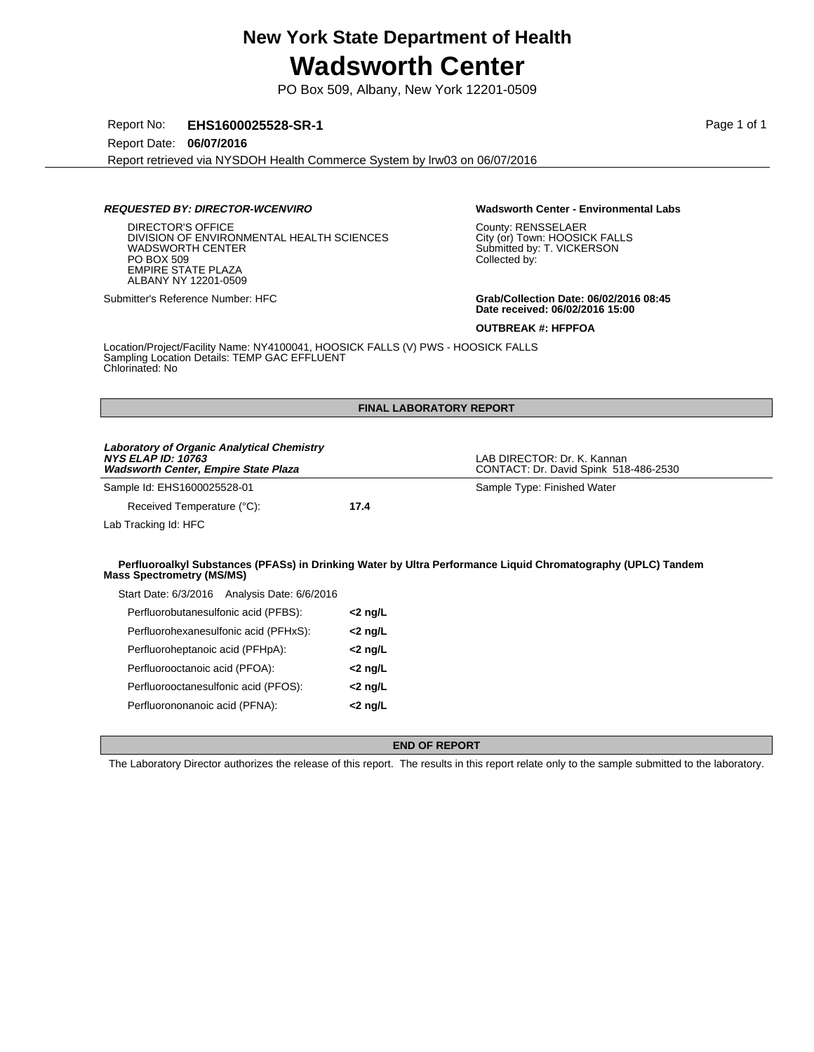PO Box 509, Albany, New York 12201-0509

Report No: **EHS1600025528-SR-1 Page 1 of 1** 

Report Date: **06/07/2016**

Report retrieved via NYSDOH Health Commerce System by lrw03 on 06/07/2016

## **REQUESTED BY: DIRECTOR-WCENVIRO Wadsworth Center - Environmental Labs**

DIRECTOR'S OFFICE DIVISION OF ENVIRONMENTAL HEALTH SCIENCES WADSWORTH CENTER PO BOX 509 EMPIRE STATE PLAZA ALBANY NY 12201-0509

Perfluorononanoic acid (PFNA): **<2 ng/L**

County: RENSSELAER City (or) Town: HOOSICK FALLS Submitted by: T. VICKERSON Collected by:

Submitter's Reference Number: HFC **Grab/Collection Date: 06/02/2016 08:45 Date received: 06/02/2016 15:00**

**OUTBREAK #: HFPFOA**

Location/Project/Facility Name: NY4100041, HOOSICK FALLS (V) PWS - HOOSICK FALLS Sampling Location Details: TEMP GAC EFFLUENT Chlorinated: No

| <b>FINAL LABORATORY REPORT</b>                                                                                         |            |                                                                                                              |  |  |
|------------------------------------------------------------------------------------------------------------------------|------------|--------------------------------------------------------------------------------------------------------------|--|--|
| Laboratory of Organic Analytical Chemistry<br><b>NYS ELAP ID: 10763</b><br><b>Wadsworth Center, Empire State Plaza</b> |            | LAB DIRECTOR: Dr. K. Kannan<br>CONTACT: Dr. David Spink 518-486-2530                                         |  |  |
| Sample Id: EHS1600025528-01                                                                                            |            | Sample Type: Finished Water                                                                                  |  |  |
| Received Temperature (°C):                                                                                             | 17.4       |                                                                                                              |  |  |
| Lab Tracking Id: HFC                                                                                                   |            |                                                                                                              |  |  |
| <b>Mass Spectrometry (MS/MS)</b>                                                                                       |            | Perfluoroalkyl Substances (PFASs) in Drinking Water by Ultra Performance Liquid Chromatography (UPLC) Tandem |  |  |
| Start Date: 6/3/2016 Analysis Date: 6/6/2016                                                                           |            |                                                                                                              |  |  |
| Perfluorobutanesulfonic acid (PFBS):                                                                                   | $<$ 2 ng/L |                                                                                                              |  |  |
| Perfluorohexanesulfonic acid (PFHxS):                                                                                  | $<$ 2 ng/L |                                                                                                              |  |  |
| Perfluoroheptanoic acid (PFHpA):                                                                                       | <2 ng/L    |                                                                                                              |  |  |
| Perfluorooctanoic acid (PFOA):                                                                                         | $<$ 2 ng/L |                                                                                                              |  |  |
| Perfluorooctanesulfonic acid (PFOS):                                                                                   | $<$ 2 ng/L |                                                                                                              |  |  |

### **END OF REPORT**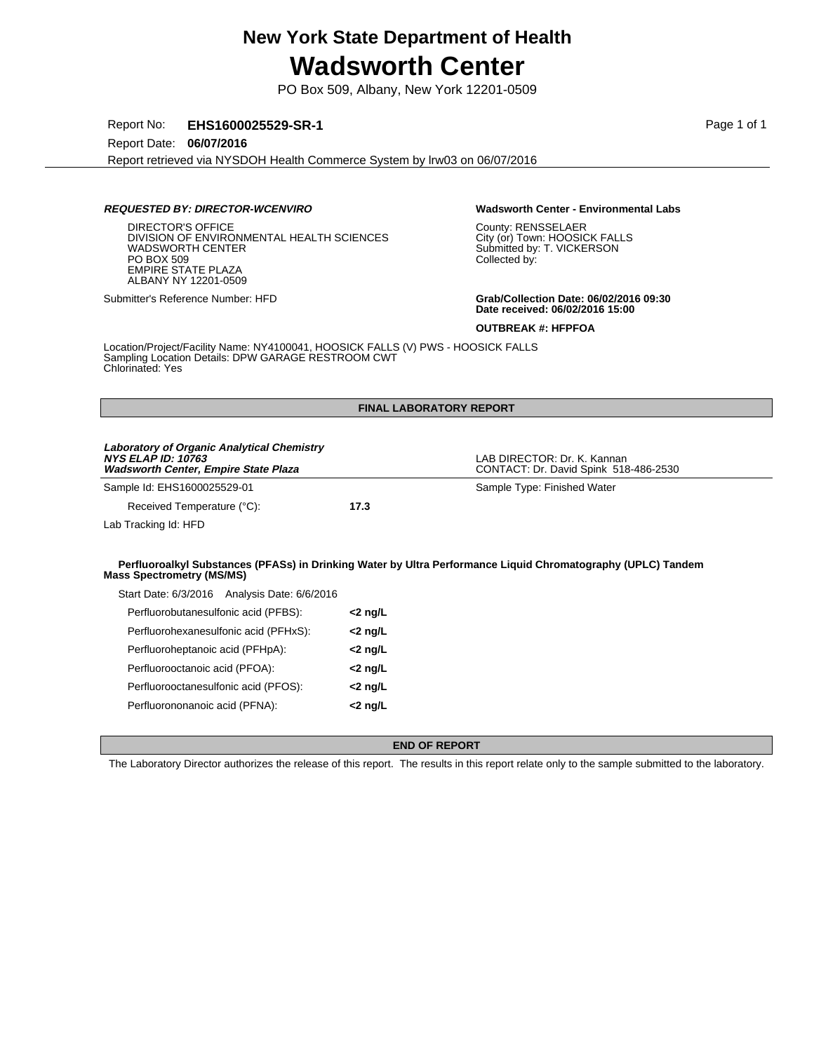PO Box 509, Albany, New York 12201-0509

Report No: **EHS1600025529-SR-1** Page 1 of 1

Report Date: **06/07/2016**

Report retrieved via NYSDOH Health Commerce System by lrw03 on 06/07/2016

## **REQUESTED BY: DIRECTOR-WCENVIRO Wadsworth Center - Environmental Labs**

DIRECTOR'S OFFICE DIVISION OF ENVIRONMENTAL HEALTH SCIENCES WADSWORTH CENTER PO BOX 509 EMPIRE STATE PLAZA ALBANY NY 12201-0509

Perfluorononanoic acid (PFNA): **<2 ng/L**

County: RENSSELAER City (or) Town: HOOSICK FALLS Submitted by: T. VICKERSON Collected by:

Submitter's Reference Number: HFD **Grab/Collection Date: 06/02/2016 09:30 Date received: 06/02/2016 15:00**

**OUTBREAK #: HFPFOA**

Location/Project/Facility Name: NY4100041, HOOSICK FALLS (V) PWS - HOOSICK FALLS Sampling Location Details: DPW GARAGE RESTROOM CWT Chlorinated: Yes

| <b>FINAL LABORATORY REPORT</b>                                                                                                |            |                                                                                                              |  |  |
|-------------------------------------------------------------------------------------------------------------------------------|------------|--------------------------------------------------------------------------------------------------------------|--|--|
| <b>Laboratory of Organic Analytical Chemistry</b><br><b>NYS ELAP ID: 10763</b><br><b>Wadsworth Center, Empire State Plaza</b> |            | LAB DIRECTOR: Dr. K. Kannan<br>CONTACT: Dr. David Spink 518-486-2530                                         |  |  |
| Sample Id: EHS1600025529-01                                                                                                   |            | Sample Type: Finished Water                                                                                  |  |  |
| Received Temperature (°C):                                                                                                    | 17.3       |                                                                                                              |  |  |
| Lab Tracking Id: HFD                                                                                                          |            |                                                                                                              |  |  |
| <b>Mass Spectrometry (MS/MS)</b>                                                                                              |            | Perfluoroalkyl Substances (PFASs) in Drinking Water by Ultra Performance Liquid Chromatography (UPLC) Tandem |  |  |
| Start Date: 6/3/2016 Analysis Date: 6/6/2016                                                                                  |            |                                                                                                              |  |  |
| Perfluorobutanesulfonic acid (PFBS):                                                                                          | $<$ 2 ng/L |                                                                                                              |  |  |
| Perfluorohexanesulfonic acid (PFHxS):                                                                                         | $<$ 2 ng/L |                                                                                                              |  |  |
| Perfluoroheptanoic acid (PFHpA):                                                                                              | $<$ 2 ng/L |                                                                                                              |  |  |
| Perfluorooctanoic acid (PFOA):                                                                                                | $<$ 2 ng/L |                                                                                                              |  |  |
| Perfluorooctanesulfonic acid (PFOS):                                                                                          | $<$ 2 ng/L |                                                                                                              |  |  |

### **END OF REPORT**